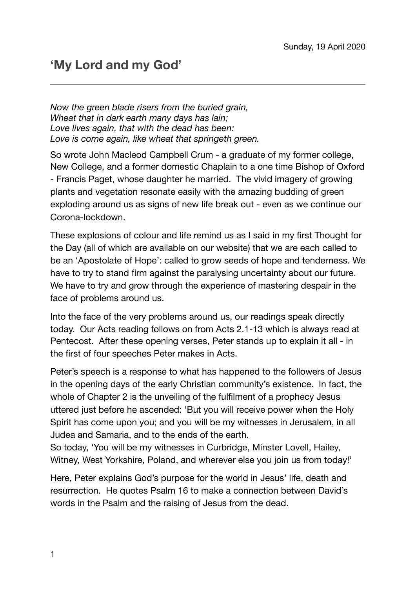*Now the green blade risers from the buried grain, Wheat that in dark earth many days has lain; Love lives again, that with the dead has been: Love is come again, like wheat that springeth green.* 

So wrote John Macleod Campbell Crum - a graduate of my former college, New College, and a former domestic Chaplain to a one time Bishop of Oxford - Francis Paget, whose daughter he married. The vivid imagery of growing plants and vegetation resonate easily with the amazing budding of green exploding around us as signs of new life break out - even as we continue our Corona-lockdown.

These explosions of colour and life remind us as I said in my first Thought for the Day (all of which are available on our website) that we are each called to be an 'Apostolate of Hope': called to grow seeds of hope and tenderness. We have to try to stand firm against the paralysing uncertainty about our future. We have to try and grow through the experience of mastering despair in the face of problems around us.

Into the face of the very problems around us, our readings speak directly today. Our Acts reading follows on from Acts 2.1-13 which is always read at Pentecost. After these opening verses, Peter stands up to explain it all - in the first of four speeches Peter makes in Acts.

Peter's speech is a response to what has happened to the followers of Jesus in the opening days of the early Christian community's existence. In fact, the whole of Chapter 2 is the unveiling of the fulfilment of a prophecy Jesus uttered just before he ascended: 'But you will receive power when the Holy Spirit has come upon you; and you will be my witnesses in Jerusalem, in all Judea and Samaria, and to the ends of the earth.

So today, 'You will be my witnesses in Curbridge, Minster Lovell, Hailey, Witney, West Yorkshire, Poland, and wherever else you join us from today!'

Here, Peter explains God's purpose for the world in Jesus' life, death and resurrection. He quotes Psalm 16 to make a connection between David's words in the Psalm and the raising of Jesus from the dead.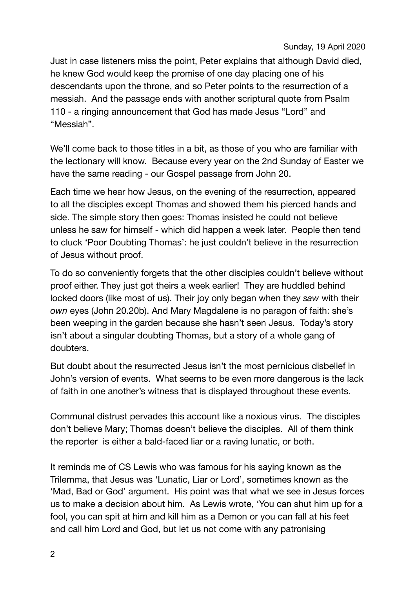Just in case listeners miss the point, Peter explains that although David died, he knew God would keep the promise of one day placing one of his descendants upon the throne, and so Peter points to the resurrection of a messiah. And the passage ends with another scriptural quote from Psalm 110 - a ringing announcement that God has made Jesus "Lord" and "Messiah".

We'll come back to those titles in a bit, as those of you who are familiar with the lectionary will know. Because every year on the 2nd Sunday of Easter we have the same reading - our Gospel passage from John 20.

Each time we hear how Jesus, on the evening of the resurrection, appeared to all the disciples except Thomas and showed them his pierced hands and side. The simple story then goes: Thomas insisted he could not believe unless he saw for himself - which did happen a week later. People then tend to cluck 'Poor Doubting Thomas': he just couldn't believe in the resurrection of Jesus without proof.

To do so conveniently forgets that the other disciples couldn't believe without proof either. They just got theirs a week earlier! They are huddled behind locked doors (like most of us). Their joy only began when they *saw* with their *own* eyes (John 20.20b). And Mary Magdalene is no paragon of faith: she's been weeping in the garden because she hasn't seen Jesus. Today's story isn't about a singular doubting Thomas, but a story of a whole gang of doubters.

But doubt about the resurrected Jesus isn't the most pernicious disbelief in John's version of events. What seems to be even more dangerous is the lack of faith in one another's witness that is displayed throughout these events.

Communal distrust pervades this account like a noxious virus. The disciples don't believe Mary; Thomas doesn't believe the disciples. All of them think the reporter is either a bald-faced liar or a raving lunatic, or both.

It reminds me of CS Lewis who was famous for his saying known as the Trilemma, that Jesus was 'Lunatic, Liar or Lord', sometimes known as the 'Mad, Bad or God' argument. His point was that what we see in Jesus forces us to make a decision about him. As Lewis wrote, 'You can shut him up for a fool, you can spit at him and kill him as a Demon or you can fall at his feet and call him Lord and God, but let us not come with any patronising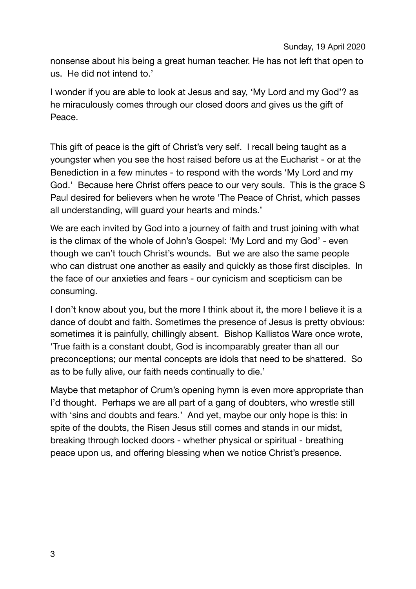nonsense about his being a great human teacher. He has not left that open to us. He did not intend to.'

I wonder if you are able to look at Jesus and say, 'My Lord and my God'? as he miraculously comes through our closed doors and gives us the gift of Peace.

This gift of peace is the gift of Christ's very self. I recall being taught as a youngster when you see the host raised before us at the Eucharist - or at the Benediction in a few minutes - to respond with the words 'My Lord and my God.' Because here Christ offers peace to our very souls. This is the grace S Paul desired for believers when he wrote 'The Peace of Christ, which passes all understanding, will guard your hearts and minds.'

We are each invited by God into a journey of faith and trust joining with what is the climax of the whole of John's Gospel: 'My Lord and my God' - even though we can't touch Christ's wounds. But we are also the same people who can distrust one another as easily and quickly as those first disciples. In the face of our anxieties and fears - our cynicism and scepticism can be consuming.

I don't know about you, but the more I think about it, the more I believe it is a dance of doubt and faith. Sometimes the presence of Jesus is pretty obvious: sometimes it is painfully, chillingly absent. Bishop Kallistos Ware once wrote, 'True faith is a constant doubt, God is incomparably greater than all our preconceptions; our mental concepts are idols that need to be shattered. So as to be fully alive, our faith needs continually to die.'

Maybe that metaphor of Crum's opening hymn is even more appropriate than I'd thought. Perhaps we are all part of a gang of doubters, who wrestle still with 'sins and doubts and fears.' And yet, maybe our only hope is this: in spite of the doubts, the Risen Jesus still comes and stands in our midst, breaking through locked doors - whether physical or spiritual - breathing peace upon us, and offering blessing when we notice Christ's presence.